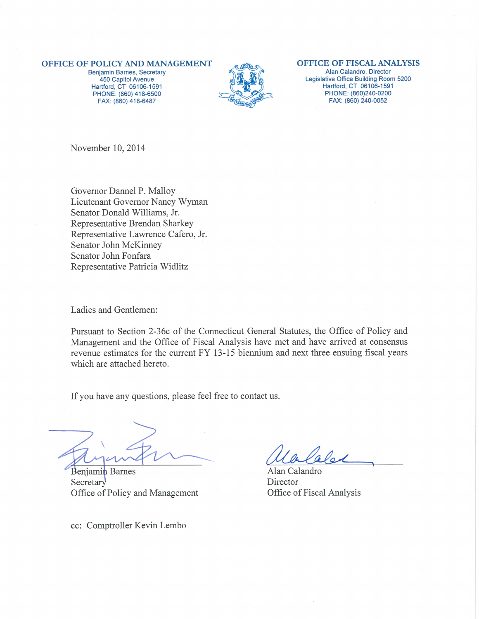#### OFFICE OF POLICY AND MANAGEMENT

Benjamin Barnes, Secretary 450 Capitol Avenue Hartford, CT 06106-1591 PHONE: (860) 418-6500 FAX: (860) 418-6487



#### **OFFICE OF FISCAL ANALYSIS**

Alan Calandro, Director Legislative Office Building Room 5200 Hartford, CT 06106-1591 PHONE: (860)240-0200 FAX: (860) 240-0052

November 10, 2014

Governor Dannel P. Malloy Lieutenant Governor Nancy Wyman Senator Donald Williams, Jr. Representative Brendan Sharkey Representative Lawrence Cafero, Jr. Senator John McKinney Senator John Fonfara Representative Patricia Widlitz

Ladies and Gentlemen:

Pursuant to Section 2-36c of the Connecticut General Statutes, the Office of Policy and Management and the Office of Fiscal Analysis have met and have arrived at consensus revenue estimates for the current FY 13-15 biennium and next three ensuing fiscal years which are attached hereto.

If you have any questions, please feel free to contact us.

**Benjamin** Barnes Secretary Office of Policy and Management

cc: Comptroller Kevin Lembo

Alan Calandro Director Office of Fiscal Analysis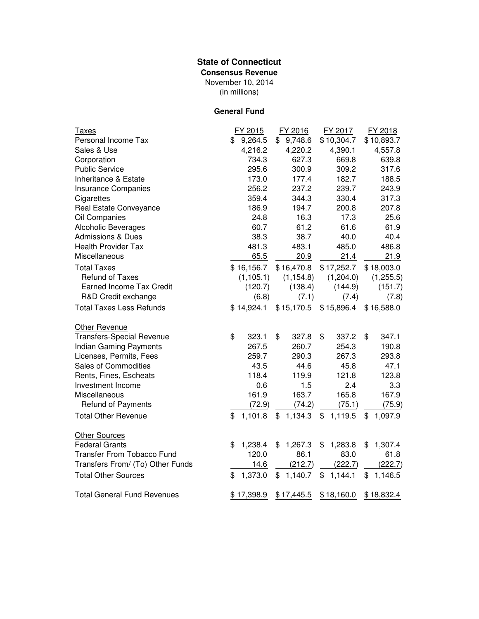## **State of Connecticut**

**Consensus Revenue**

(in millions) November 10, 2014

## **General Fund**

| <u>Taxes</u>                       | FY 2015       | FY 2016       | FY 2017       | FY 2018       |
|------------------------------------|---------------|---------------|---------------|---------------|
| Personal Income Tax                | \$<br>9,264.5 | \$9,748.6     | \$10,304.7    | \$10,893.7    |
| Sales & Use                        | 4,216.2       | 4,220.2       | 4,390.1       | 4,557.8       |
| Corporation                        | 734.3         | 627.3         | 669.8         | 639.8         |
| <b>Public Service</b>              | 295.6         | 300.9         | 309.2         | 317.6         |
| Inheritance & Estate               | 173.0         | 177.4         | 182.7         | 188.5         |
| Insurance Companies                | 256.2         | 237.2         | 239.7         | 243.9         |
| Cigarettes                         | 359.4         | 344.3         | 330.4         | 317.3         |
| Real Estate Conveyance             | 186.9         | 194.7         | 200.8         | 207.8         |
| Oil Companies                      | 24.8          | 16.3          | 17.3          | 25.6          |
| <b>Alcoholic Beverages</b>         | 60.7          | 61.2          | 61.6          | 61.9          |
| Admissions & Dues                  | 38.3          | 38.7          | 40.0          | 40.4          |
| <b>Health Provider Tax</b>         | 481.3         | 483.1         | 485.0         | 486.8         |
| Miscellaneous                      | 65.5          | 20.9          | 21.4          | 21.9          |
| <b>Total Taxes</b>                 | \$16,156.7    | \$16,470.8    | \$17,252.7    | \$18,003.0    |
| <b>Refund of Taxes</b>             | (1, 105.1)    | (1, 154.8)    | (1,204.0)     | (1,255.5)     |
| <b>Earned Income Tax Credit</b>    | (120.7)       | (138.4)       | (144.9)       | (151.7)       |
| R&D Credit exchange                | (6.8)         | (7.1)         | (7.4)         | (7.8)         |
| <b>Total Taxes Less Refunds</b>    | \$14,924.1    | \$15,170.5    | \$15,896.4    | \$16,588.0    |
| Other Revenue                      |               |               |               |               |
| <b>Transfers-Special Revenue</b>   | \$<br>323.1   | \$<br>327.8   | \$<br>337.2   | \$<br>347.1   |
| <b>Indian Gaming Payments</b>      | 267.5         | 260.7         | 254.3         | 190.8         |
| Licenses, Permits, Fees            | 259.7         | 290.3         | 267.3         | 293.8         |
| Sales of Commodities               | 43.5          | 44.6          | 45.8          | 47.1          |
| Rents, Fines, Escheats             | 118.4         | 119.9         | 121.8         | 123.8         |
| Investment Income                  | 0.6           | 1.5           | 2.4           | 3.3           |
| Miscellaneous                      | 161.9         | 163.7         | 165.8         | 167.9         |
| Refund of Payments                 | (72.9)        | (74.2)        | (75.1)        | (75.9)        |
| <b>Total Other Revenue</b>         | \$<br>1,101.8 | \$<br>1,134.3 | \$<br>1,119.5 | \$<br>1,097.9 |
| <b>Other Sources</b>               |               |               |               |               |
| <b>Federal Grants</b>              | \$<br>1,238.4 | \$<br>1,267.3 | \$<br>1,283.8 | \$<br>1,307.4 |
| <b>Transfer From Tobacco Fund</b>  | 120.0         | 86.1          | 83.0          | 61.8          |
| Transfers From/ (To) Other Funds   | 14.6          | (212.7)       | (222.7)       | (222.7)       |
| <b>Total Other Sources</b>         | \$<br>1,373.0 | \$<br>1,140.7 | \$<br>1,144.1 | \$<br>1,146.5 |
| <b>Total General Fund Revenues</b> | \$17,398.9    | \$17,445.5    | \$18,160.0    | \$18,832.4    |